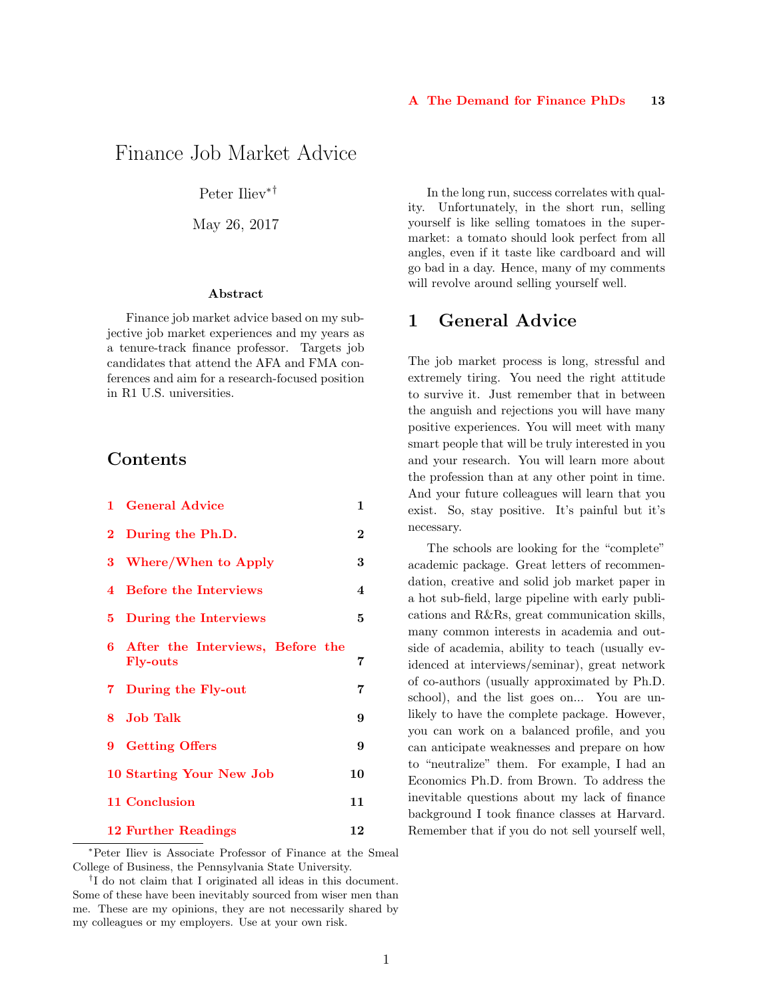# <span id="page-0-1"></span>Finance Job Market Advice

Peter Iliev∗†

May 26, 2017

#### Abstract

Finance job market advice based on my subjective job market experiences and my years as a tenure-track finance professor. Targets job candidates that attend the AFA and FMA conferences and aim for a research-focused position in R1 U.S. universities.

#### Contents

|   | 1 General Advice                                      | 1                       |
|---|-------------------------------------------------------|-------------------------|
|   | 2 During the Ph.D.                                    | $\overline{2}$          |
| 3 | Where/When to Apply                                   | 3                       |
| 4 | <b>Before the Interviews</b>                          | $\overline{\mathbf{4}}$ |
| 5 | During the Interviews                                 | 5                       |
|   | 6 After the Interviews, Before the<br><b>Fly-outs</b> | 7                       |
|   | 7 During the Fly-out                                  | 7                       |
|   | 8 Job Talk                                            | 9                       |
|   | 9 Getting Offers                                      | 9                       |
|   | 10 Starting Your New Job                              | 10                      |
|   | 11 Conclusion                                         | 11                      |
|   | 12 Further Readings                                   | 12                      |

<sup>∗</sup>Peter Iliev is Associate Professor of Finance at the Smeal College of Business, the Pennsylvania State University.

In the long run, success correlates with quality. Unfortunately, in the short run, selling yourself is like selling tomatoes in the supermarket: a tomato should look perfect from all angles, even if it taste like cardboard and will go bad in a day. Hence, many of my comments will revolve around selling yourself well.

#### <span id="page-0-0"></span>1 General Advice

The job market process is long, stressful and extremely tiring. You need the right attitude to survive it. Just remember that in between the anguish and rejections you will have many positive experiences. You will meet with many smart people that will be truly interested in you and your research. You will learn more about the profession than at any other point in time. And your future colleagues will learn that you exist. So, stay positive. It's painful but it's necessary.

The schools are looking for the "complete" academic package. Great letters of recommendation, creative and solid job market paper in a hot sub-field, large pipeline with early publications and R&Rs, great communication skills, many common interests in academia and outside of academia, ability to teach (usually evidenced at interviews/seminar), great network of co-authors (usually approximated by Ph.D. school), and the list goes on... You are unlikely to have the complete package. However, you can work on a balanced profile, and you can anticipate weaknesses and prepare on how to "neutralize" them. For example, I had an Economics Ph.D. from Brown. To address the inevitable questions about my lack of finance background I took finance classes at Harvard. Remember that if you do not sell yourself well,

<sup>†</sup> I do not claim that I originated all ideas in this document. Some of these have been inevitably sourced from wiser men than me. These are my opinions, they are not necessarily shared by my colleagues or my employers. Use at your own risk.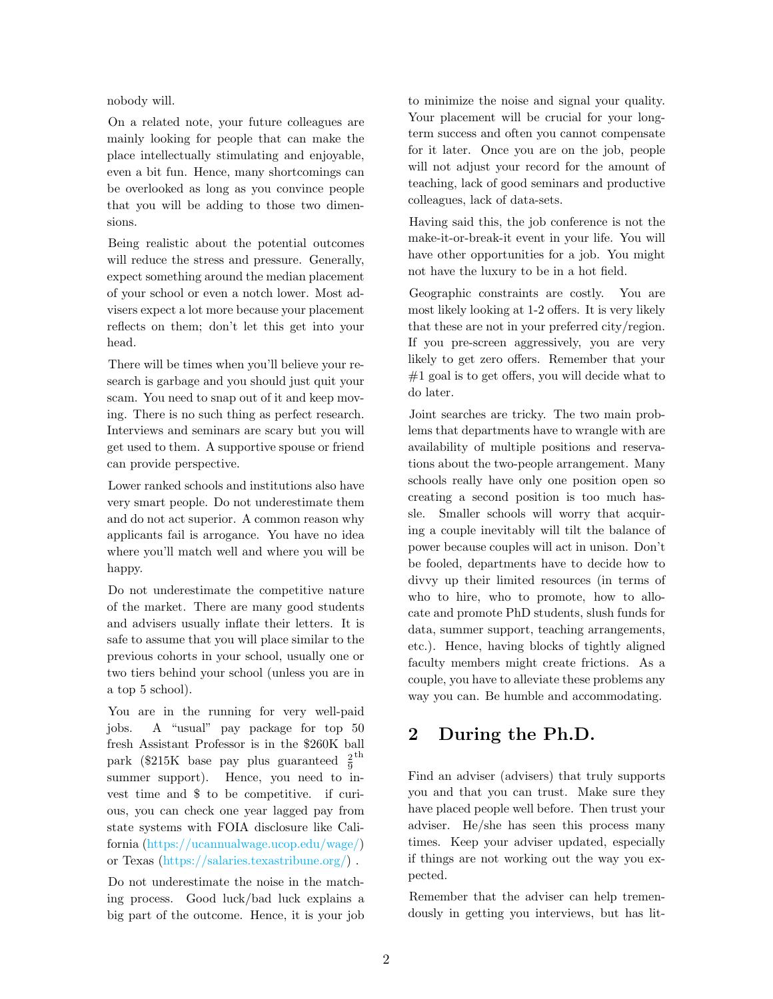nobody will.

On a related note, your future colleagues are mainly looking for people that can make the place intellectually stimulating and enjoyable, even a bit fun. Hence, many shortcomings can be overlooked as long as you convince people that you will be adding to those two dimensions.

Being realistic about the potential outcomes will reduce the stress and pressure. Generally, expect something around the median placement of your school or even a notch lower. Most advisers expect a lot more because your placement reflects on them; don't let this get into your head.

There will be times when you'll believe your research is garbage and you should just quit your scam. You need to snap out of it and keep moving. There is no such thing as perfect research. Interviews and seminars are scary but you will get used to them. A supportive spouse or friend can provide perspective.

Lower ranked schools and institutions also have very smart people. Do not underestimate them and do not act superior. A common reason why applicants fail is arrogance. You have no idea where you'll match well and where you will be happy.

Do not underestimate the competitive nature of the market. There are many good students and advisers usually inflate their letters. It is safe to assume that you will place similar to the previous cohorts in your school, usually one or two tiers behind your school (unless you are in a top 5 school).

You are in the running for very well-paid jobs. A "usual" pay package for top 50 fresh Assistant Professor is in the \$260K ball park (\$215K base pay plus guaranteed  $\frac{2}{9}$ th summer support). Hence, you need to invest time and \$ to be competitive. if curious, you can check one year lagged pay from state systems with FOIA disclosure like California [\(https://ucannualwage.ucop.edu/wage/\)](#page-0-1) or Texas [\(https://salaries.texastribune.org/\)](#page-0-1) .

Do not underestimate the noise in the matching process. Good luck/bad luck explains a big part of the outcome. Hence, it is your job to minimize the noise and signal your quality. Your placement will be crucial for your longterm success and often you cannot compensate for it later. Once you are on the job, people will not adjust your record for the amount of teaching, lack of good seminars and productive colleagues, lack of data-sets.

Having said this, the job conference is not the make-it-or-break-it event in your life. You will have other opportunities for a job. You might not have the luxury to be in a hot field.

Geographic constraints are costly. You are most likely looking at 1-2 offers. It is very likely that these are not in your preferred city/region. If you pre-screen aggressively, you are very likely to get zero offers. Remember that your  $#1$  goal is to get offers, you will decide what to do later.

Joint searches are tricky. The two main problems that departments have to wrangle with are availability of multiple positions and reservations about the two-people arrangement. Many schools really have only one position open so creating a second position is too much hassle. Smaller schools will worry that acquiring a couple inevitably will tilt the balance of power because couples will act in unison. Don't be fooled, departments have to decide how to divvy up their limited resources (in terms of who to hire, who to promote, how to allocate and promote PhD students, slush funds for data, summer support, teaching arrangements, etc.). Hence, having blocks of tightly aligned faculty members might create frictions. As a couple, you have to alleviate these problems any way you can. Be humble and accommodating.

# <span id="page-1-0"></span>2 During the Ph.D.

Find an adviser (advisers) that truly supports you and that you can trust. Make sure they have placed people well before. Then trust your adviser. He/she has seen this process many times. Keep your adviser updated, especially if things are not working out the way you expected.

Remember that the adviser can help tremendously in getting you interviews, but has lit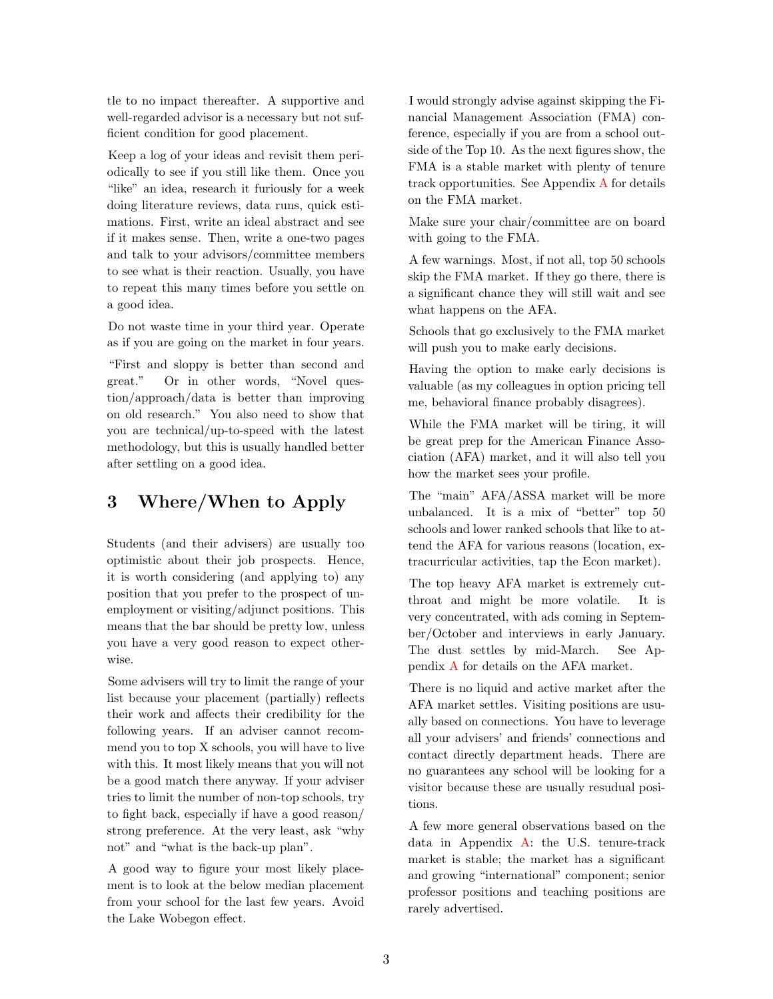tle to no impact thereafter. A supportive and well-regarded advisor is a necessary but not sufficient condition for good placement.

Keep a log of your ideas and revisit them periodically to see if you still like them. Once you "like" an idea, research it furiously for a week doing literature reviews, data runs, quick estimations. First, write an ideal abstract and see if it makes sense. Then, write a one-two pages and talk to your advisors/committee members to see what is their reaction. Usually, you have to repeat this many times before you settle on a good idea.

Do not waste time in your third year. Operate as if you are going on the market in four years.

"First and sloppy is better than second and great." Or in other words, "Novel question/approach/data is better than improving on old research." You also need to show that you are technical/up-to-speed with the latest methodology, but this is usually handled better after settling on a good idea.

### <span id="page-2-0"></span>3 Where/When to Apply

Students (and their advisers) are usually too optimistic about their job prospects. Hence, it is worth considering (and applying to) any position that you prefer to the prospect of unemployment or visiting/adjunct positions. This means that the bar should be pretty low, unless you have a very good reason to expect otherwise.

Some advisers will try to limit the range of your list because your placement (partially) reflects their work and affects their credibility for the following years. If an adviser cannot recommend you to top X schools, you will have to live with this. It most likely means that you will not be a good match there anyway. If your adviser tries to limit the number of non-top schools, try to fight back, especially if have a good reason/ strong preference. At the very least, ask "why not" and "what is the back-up plan".

A good way to figure your most likely placement is to look at the below median placement from your school for the last few years. Avoid the Lake Wobegon effect.

I would strongly advise against skipping the Financial Management Association (FMA) conference, especially if you are from a school outside of the Top 10. As the next figures show, the FMA is a stable market with plenty of tenure track opportunities. See Appendix [A](#page-12-0) for details on the FMA market.

Make sure your chair/committee are on board with going to the FMA.

A few warnings. Most, if not all, top 50 schools skip the FMA market. If they go there, there is a significant chance they will still wait and see what happens on the AFA.

Schools that go exclusively to the FMA market will push you to make early decisions.

Having the option to make early decisions is valuable (as my colleagues in option pricing tell me, behavioral finance probably disagrees).

While the FMA market will be tiring, it will be great prep for the American Finance Association (AFA) market, and it will also tell you how the market sees your profile.

The "main" AFA/ASSA market will be more unbalanced. It is a mix of "better" top 50 schools and lower ranked schools that like to attend the AFA for various reasons (location, extracurricular activities, tap the Econ market).

The top heavy AFA market is extremely cutthroat and might be more volatile. It is very concentrated, with ads coming in September/October and interviews in early January. The dust settles by mid-March. See Appendix [A](#page-12-0) for details on the AFA market.

There is no liquid and active market after the AFA market settles. Visiting positions are usually based on connections. You have to leverage all your advisers' and friends' connections and contact directly department heads. There are no guarantees any school will be looking for a visitor because these are usually resudual positions.

<span id="page-2-1"></span>A few more general observations based on the data in Appendix [A:](#page-12-0) the U.S. tenure-track market is stable; the market has a significant and growing "international" component; senior professor positions and teaching positions are rarely advertised.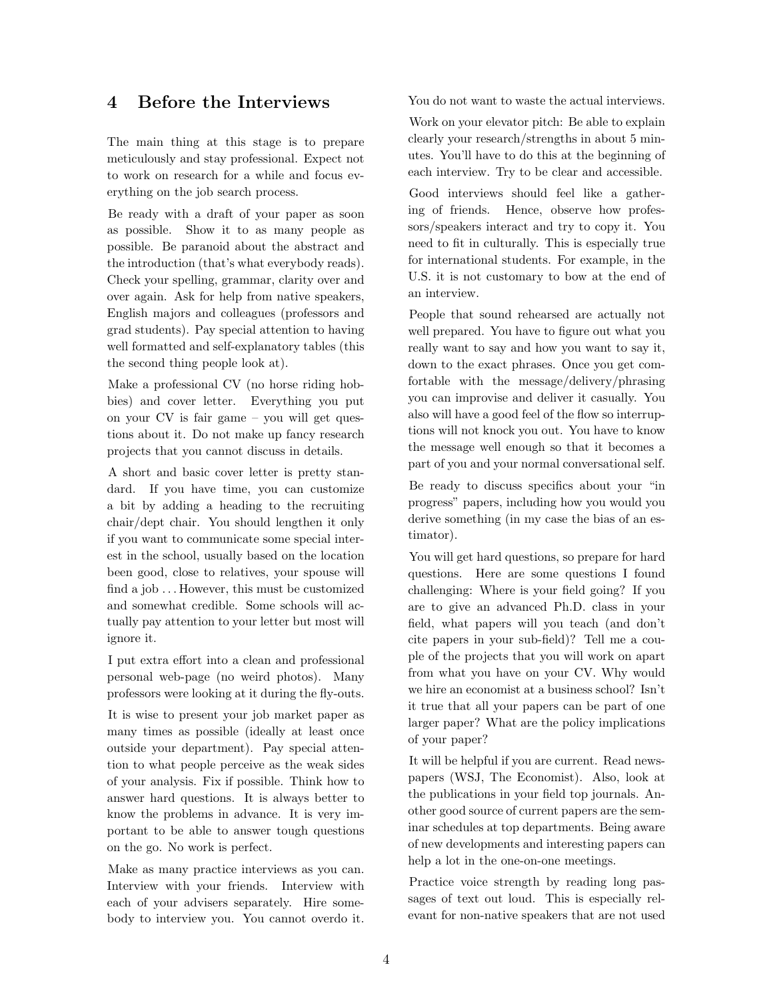### 4 Before the Interviews

The main thing at this stage is to prepare meticulously and stay professional. Expect not to work on research for a while and focus everything on the job search process.

Be ready with a draft of your paper as soon as possible. Show it to as many people as possible. Be paranoid about the abstract and the introduction (that's what everybody reads). Check your spelling, grammar, clarity over and over again. Ask for help from native speakers, English majors and colleagues (professors and grad students). Pay special attention to having well formatted and self-explanatory tables (this the second thing people look at).

Make a professional CV (no horse riding hobbies) and cover letter. Everything you put on your CV is fair game – you will get questions about it. Do not make up fancy research projects that you cannot discuss in details.

A short and basic cover letter is pretty standard. If you have time, you can customize a bit by adding a heading to the recruiting chair/dept chair. You should lengthen it only if you want to communicate some special interest in the school, usually based on the location been good, close to relatives, your spouse will find a job . . . However, this must be customized and somewhat credible. Some schools will actually pay attention to your letter but most will ignore it.

I put extra effort into a clean and professional personal web-page (no weird photos). Many professors were looking at it during the fly-outs.

It is wise to present your job market paper as many times as possible (ideally at least once outside your department). Pay special attention to what people perceive as the weak sides of your analysis. Fix if possible. Think how to answer hard questions. It is always better to know the problems in advance. It is very important to be able to answer tough questions on the go. No work is perfect.

Make as many practice interviews as you can. Interview with your friends. Interview with each of your advisers separately. Hire somebody to interview you. You cannot overdo it. You do not want to waste the actual interviews.

Work on your elevator pitch: Be able to explain clearly your research/strengths in about 5 minutes. You'll have to do this at the beginning of each interview. Try to be clear and accessible.

Good interviews should feel like a gathering of friends. Hence, observe how professors/speakers interact and try to copy it. You need to fit in culturally. This is especially true for international students. For example, in the U.S. it is not customary to bow at the end of an interview.

People that sound rehearsed are actually not well prepared. You have to figure out what you really want to say and how you want to say it, down to the exact phrases. Once you get comfortable with the message/delivery/phrasing you can improvise and deliver it casually. You also will have a good feel of the flow so interruptions will not knock you out. You have to know the message well enough so that it becomes a part of you and your normal conversational self.

Be ready to discuss specifics about your "in progress" papers, including how you would you derive something (in my case the bias of an estimator).

You will get hard questions, so prepare for hard questions. Here are some questions I found challenging: Where is your field going? If you are to give an advanced Ph.D. class in your field, what papers will you teach (and don't cite papers in your sub-field)? Tell me a couple of the projects that you will work on apart from what you have on your CV. Why would we hire an economist at a business school? Isn't it true that all your papers can be part of one larger paper? What are the policy implications of your paper?

It will be helpful if you are current. Read newspapers (WSJ, The Economist). Also, look at the publications in your field top journals. Another good source of current papers are the seminar schedules at top departments. Being aware of new developments and interesting papers can help a lot in the one-on-one meetings.

Practice voice strength by reading long passages of text out loud. This is especially relevant for non-native speakers that are not used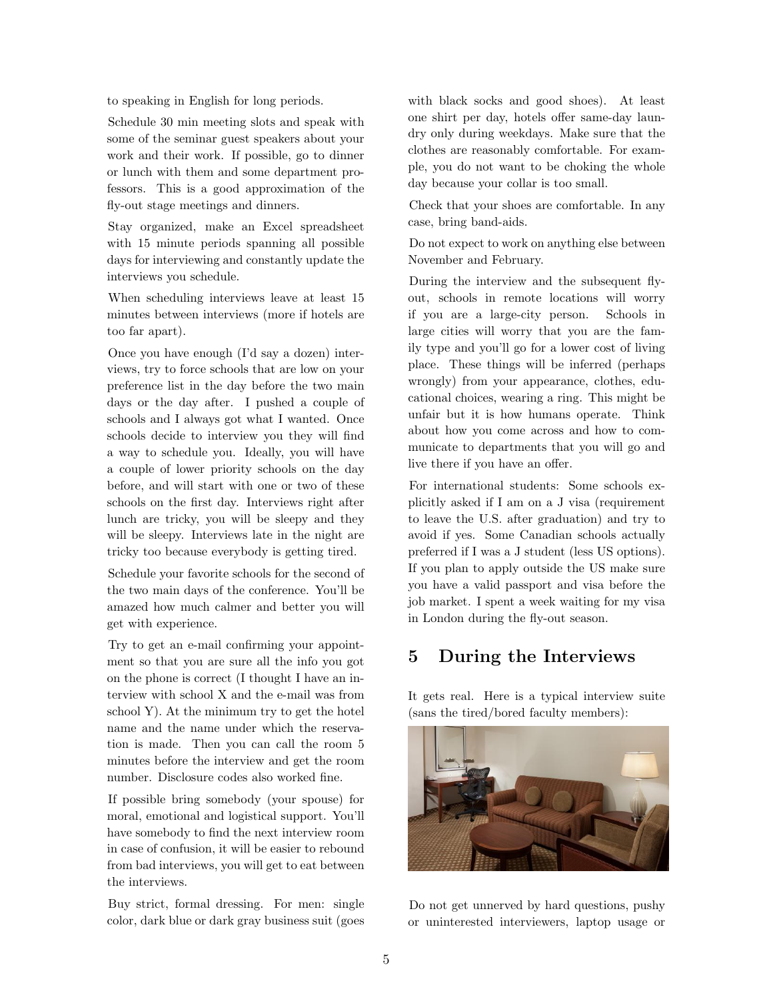to speaking in English for long periods.

Schedule 30 min meeting slots and speak with some of the seminar guest speakers about your work and their work. If possible, go to dinner or lunch with them and some department professors. This is a good approximation of the fly-out stage meetings and dinners.

Stay organized, make an Excel spreadsheet with 15 minute periods spanning all possible days for interviewing and constantly update the interviews you schedule.

When scheduling interviews leave at least 15 minutes between interviews (more if hotels are too far apart).

Once you have enough (I'd say a dozen) interviews, try to force schools that are low on your preference list in the day before the two main days or the day after. I pushed a couple of schools and I always got what I wanted. Once schools decide to interview you they will find a way to schedule you. Ideally, you will have a couple of lower priority schools on the day before, and will start with one or two of these schools on the first day. Interviews right after lunch are tricky, you will be sleepy and they will be sleepy. Interviews late in the night are tricky too because everybody is getting tired.

Schedule your favorite schools for the second of the two main days of the conference. You'll be amazed how much calmer and better you will get with experience.

Try to get an e-mail confirming your appointment so that you are sure all the info you got on the phone is correct (I thought I have an interview with school X and the e-mail was from school Y). At the minimum try to get the hotel name and the name under which the reservation is made. Then you can call the room 5 minutes before the interview and get the room number. Disclosure codes also worked fine.

If possible bring somebody (your spouse) for moral, emotional and logistical support. You'll have somebody to find the next interview room in case of confusion, it will be easier to rebound from bad interviews, you will get to eat between the interviews.

Buy strict, formal dressing. For men: single color, dark blue or dark gray business suit (goes with black socks and good shoes). At least one shirt per day, hotels offer same-day laundry only during weekdays. Make sure that the clothes are reasonably comfortable. For example, you do not want to be choking the whole day because your collar is too small.

Check that your shoes are comfortable. In any case, bring band-aids.

Do not expect to work on anything else between November and February.

During the interview and the subsequent flyout, schools in remote locations will worry if you are a large-city person. Schools in large cities will worry that you are the family type and you'll go for a lower cost of living place. These things will be inferred (perhaps wrongly) from your appearance, clothes, educational choices, wearing a ring. This might be unfair but it is how humans operate. Think about how you come across and how to communicate to departments that you will go and live there if you have an offer.

For international students: Some schools explicitly asked if I am on a J visa (requirement to leave the U.S. after graduation) and try to avoid if yes. Some Canadian schools actually preferred if I was a J student (less US options). If you plan to apply outside the US make sure you have a valid passport and visa before the job market. I spent a week waiting for my visa in London during the fly-out season.

# <span id="page-4-0"></span>5 During the Interviews

It gets real. Here is a typical interview suite (sans the tired/bored faculty members):



Do not get unnerved by hard questions, pushy or uninterested interviewers, laptop usage or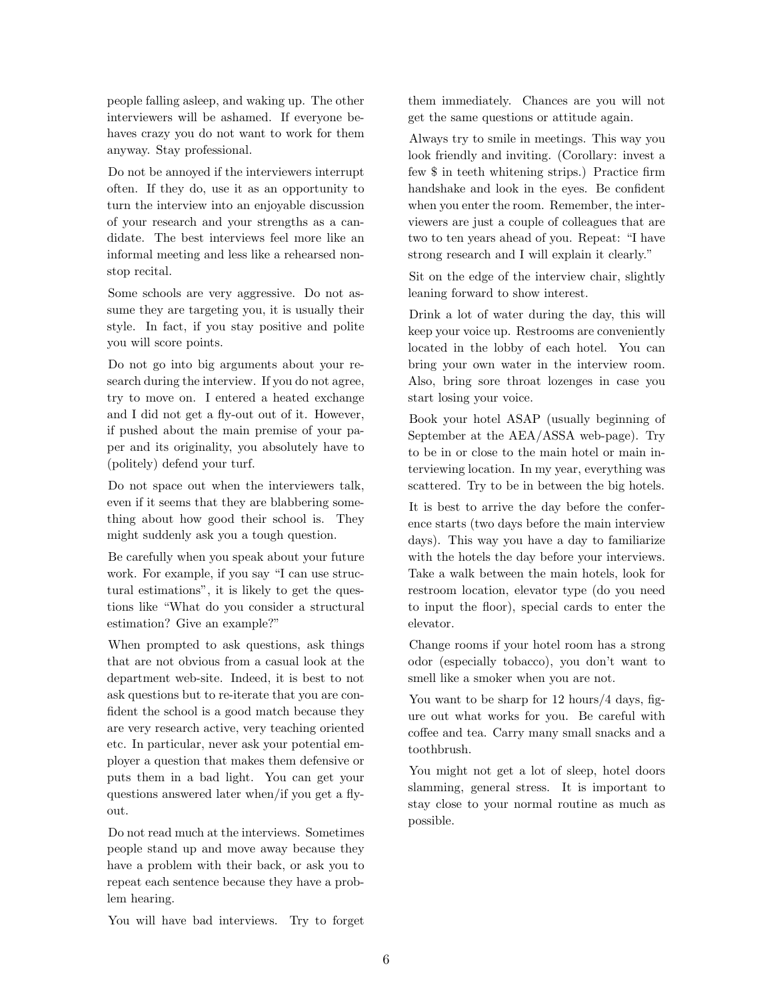people falling asleep, and waking up. The other interviewers will be ashamed. If everyone behaves crazy you do not want to work for them anyway. Stay professional.

Do not be annoyed if the interviewers interrupt often. If they do, use it as an opportunity to turn the interview into an enjoyable discussion of your research and your strengths as a candidate. The best interviews feel more like an informal meeting and less like a rehearsed nonstop recital.

Some schools are very aggressive. Do not assume they are targeting you, it is usually their style. In fact, if you stay positive and polite you will score points.

Do not go into big arguments about your research during the interview. If you do not agree, try to move on. I entered a heated exchange and I did not get a fly-out out of it. However, if pushed about the main premise of your paper and its originality, you absolutely have to (politely) defend your turf.

Do not space out when the interviewers talk, even if it seems that they are blabbering something about how good their school is. They might suddenly ask you a tough question.

Be carefully when you speak about your future work. For example, if you say "I can use structural estimations", it is likely to get the questions like "What do you consider a structural estimation? Give an example?"

When prompted to ask questions, ask things that are not obvious from a casual look at the department web-site. Indeed, it is best to not ask questions but to re-iterate that you are confident the school is a good match because they are very research active, very teaching oriented etc. In particular, never ask your potential employer a question that makes them defensive or puts them in a bad light. You can get your questions answered later when/if you get a flyout.

Do not read much at the interviews. Sometimes people stand up and move away because they have a problem with their back, or ask you to repeat each sentence because they have a problem hearing.

You will have bad interviews. Try to forget

them immediately. Chances are you will not get the same questions or attitude again.

Always try to smile in meetings. This way you look friendly and inviting. (Corollary: invest a few \$ in teeth whitening strips.) Practice firm handshake and look in the eyes. Be confident when you enter the room. Remember, the interviewers are just a couple of colleagues that are two to ten years ahead of you. Repeat: "I have strong research and I will explain it clearly."

Sit on the edge of the interview chair, slightly leaning forward to show interest.

Drink a lot of water during the day, this will keep your voice up. Restrooms are conveniently located in the lobby of each hotel. You can bring your own water in the interview room. Also, bring sore throat lozenges in case you start losing your voice.

Book your hotel ASAP (usually beginning of September at the AEA/ASSA web-page). Try to be in or close to the main hotel or main interviewing location. In my year, everything was scattered. Try to be in between the big hotels.

It is best to arrive the day before the conference starts (two days before the main interview days). This way you have a day to familiarize with the hotels the day before your interviews. Take a walk between the main hotels, look for restroom location, elevator type (do you need to input the floor), special cards to enter the elevator.

Change rooms if your hotel room has a strong odor (especially tobacco), you don't want to smell like a smoker when you are not.

You want to be sharp for 12 hours/4 days, figure out what works for you. Be careful with coffee and tea. Carry many small snacks and a toothbrush.

<span id="page-5-0"></span>You might not get a lot of sleep, hotel doors slamming, general stress. It is important to stay close to your normal routine as much as possible.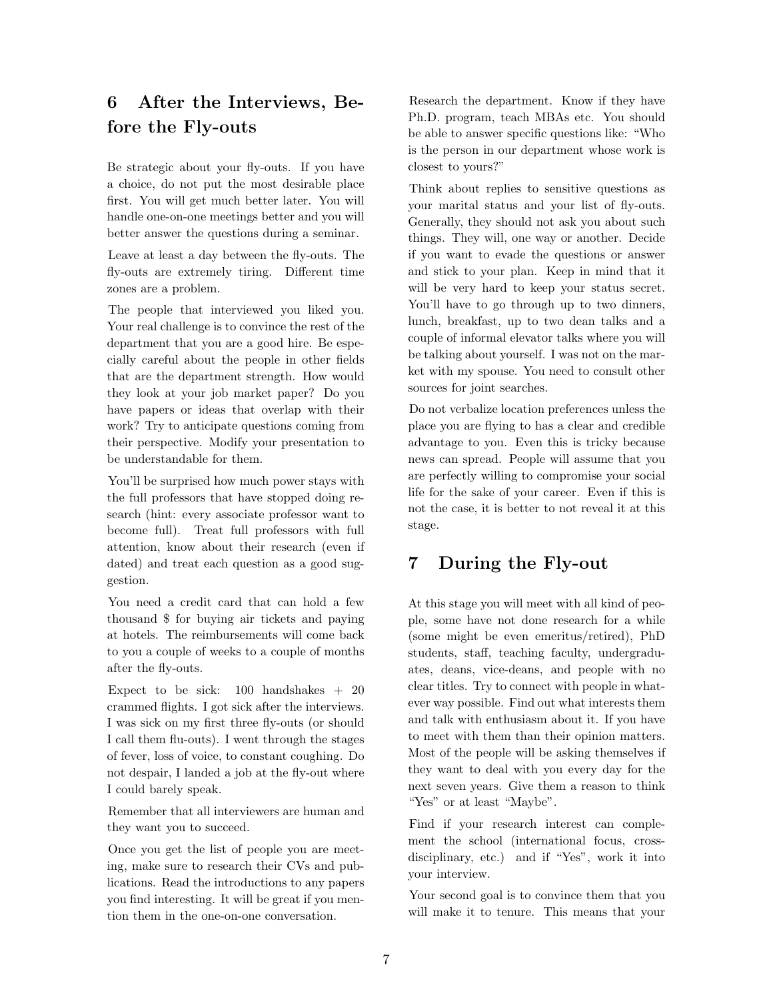# 6 After the Interviews, Before the Fly-outs

Be strategic about your fly-outs. If you have a choice, do not put the most desirable place first. You will get much better later. You will handle one-on-one meetings better and you will better answer the questions during a seminar.

Leave at least a day between the fly-outs. The fly-outs are extremely tiring. Different time zones are a problem.

The people that interviewed you liked you. Your real challenge is to convince the rest of the department that you are a good hire. Be especially careful about the people in other fields that are the department strength. How would they look at your job market paper? Do you have papers or ideas that overlap with their work? Try to anticipate questions coming from their perspective. Modify your presentation to be understandable for them.

You'll be surprised how much power stays with the full professors that have stopped doing research (hint: every associate professor want to become full). Treat full professors with full attention, know about their research (even if dated) and treat each question as a good suggestion.

You need a credit card that can hold a few thousand \$ for buying air tickets and paying at hotels. The reimbursements will come back to you a couple of weeks to a couple of months after the fly-outs.

Expect to be sick:  $100$  handshakes  $+20$ crammed flights. I got sick after the interviews. I was sick on my first three fly-outs (or should I call them flu-outs). I went through the stages of fever, loss of voice, to constant coughing. Do not despair, I landed a job at the fly-out where I could barely speak.

Remember that all interviewers are human and they want you to succeed.

Once you get the list of people you are meeting, make sure to research their CVs and publications. Read the introductions to any papers you find interesting. It will be great if you mention them in the one-on-one conversation.

Research the department. Know if they have Ph.D. program, teach MBAs etc. You should be able to answer specific questions like: "Who is the person in our department whose work is closest to yours?"

Think about replies to sensitive questions as your marital status and your list of fly-outs. Generally, they should not ask you about such things. They will, one way or another. Decide if you want to evade the questions or answer and stick to your plan. Keep in mind that it will be very hard to keep your status secret. You'll have to go through up to two dinners, lunch, breakfast, up to two dean talks and a couple of informal elevator talks where you will be talking about yourself. I was not on the market with my spouse. You need to consult other sources for joint searches.

Do not verbalize location preferences unless the place you are flying to has a clear and credible advantage to you. Even this is tricky because news can spread. People will assume that you are perfectly willing to compromise your social life for the sake of your career. Even if this is not the case, it is better to not reveal it at this stage.

# <span id="page-6-0"></span>7 During the Fly-out

At this stage you will meet with all kind of people, some have not done research for a while (some might be even emeritus/retired), PhD students, staff, teaching faculty, undergraduates, deans, vice-deans, and people with no clear titles. Try to connect with people in whatever way possible. Find out what interests them and talk with enthusiasm about it. If you have to meet with them than their opinion matters. Most of the people will be asking themselves if they want to deal with you every day for the next seven years. Give them a reason to think "Yes" or at least "Maybe".

Find if your research interest can complement the school (international focus, crossdisciplinary, etc.) and if "Yes", work it into your interview.

Your second goal is to convince them that you will make it to tenure. This means that your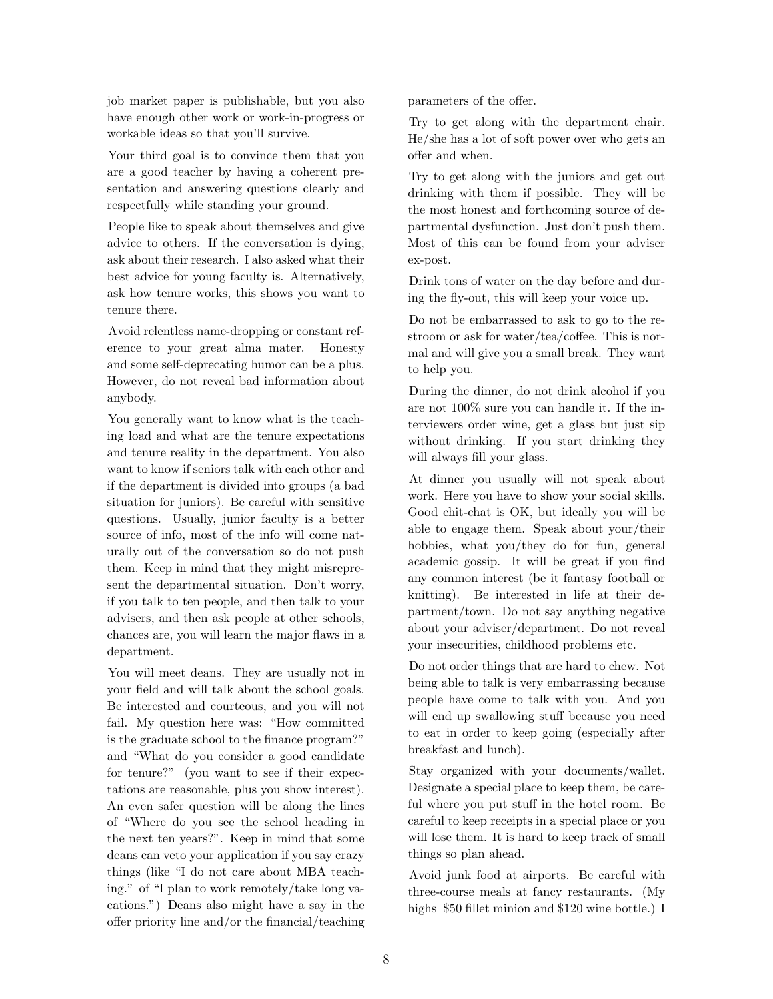job market paper is publishable, but you also have enough other work or work-in-progress or workable ideas so that you'll survive.

Your third goal is to convince them that you are a good teacher by having a coherent presentation and answering questions clearly and respectfully while standing your ground.

People like to speak about themselves and give advice to others. If the conversation is dying, ask about their research. I also asked what their best advice for young faculty is. Alternatively, ask how tenure works, this shows you want to tenure there.

Avoid relentless name-dropping or constant reference to your great alma mater. Honesty and some self-deprecating humor can be a plus. However, do not reveal bad information about anybody.

You generally want to know what is the teaching load and what are the tenure expectations and tenure reality in the department. You also want to know if seniors talk with each other and if the department is divided into groups (a bad situation for juniors). Be careful with sensitive questions. Usually, junior faculty is a better source of info, most of the info will come naturally out of the conversation so do not push them. Keep in mind that they might misrepresent the departmental situation. Don't worry, if you talk to ten people, and then talk to your advisers, and then ask people at other schools, chances are, you will learn the major flaws in a department.

You will meet deans. They are usually not in your field and will talk about the school goals. Be interested and courteous, and you will not fail. My question here was: "How committed is the graduate school to the finance program?" and "What do you consider a good candidate for tenure?" (you want to see if their expectations are reasonable, plus you show interest). An even safer question will be along the lines of "Where do you see the school heading in the next ten years?". Keep in mind that some deans can veto your application if you say crazy things (like "I do not care about MBA teaching." of "I plan to work remotely/take long vacations.") Deans also might have a say in the offer priority line and/or the financial/teaching parameters of the offer.

Try to get along with the department chair. He/she has a lot of soft power over who gets an offer and when.

Try to get along with the juniors and get out drinking with them if possible. They will be the most honest and forthcoming source of departmental dysfunction. Just don't push them. Most of this can be found from your adviser ex-post.

Drink tons of water on the day before and during the fly-out, this will keep your voice up.

Do not be embarrassed to ask to go to the restroom or ask for water/tea/coffee. This is normal and will give you a small break. They want to help you.

During the dinner, do not drink alcohol if you are not 100% sure you can handle it. If the interviewers order wine, get a glass but just sip without drinking. If you start drinking they will always fill your glass.

At dinner you usually will not speak about work. Here you have to show your social skills. Good chit-chat is OK, but ideally you will be able to engage them. Speak about your/their hobbies, what you/they do for fun, general academic gossip. It will be great if you find any common interest (be it fantasy football or knitting). Be interested in life at their department/town. Do not say anything negative about your adviser/department. Do not reveal your insecurities, childhood problems etc.

Do not order things that are hard to chew. Not being able to talk is very embarrassing because people have come to talk with you. And you will end up swallowing stuff because you need to eat in order to keep going (especially after breakfast and lunch).

Stay organized with your documents/wallet. Designate a special place to keep them, be careful where you put stuff in the hotel room. Be careful to keep receipts in a special place or you will lose them. It is hard to keep track of small things so plan ahead.

Avoid junk food at airports. Be careful with three-course meals at fancy restaurants. (My highs \$50 fillet minion and \$120 wine bottle.) I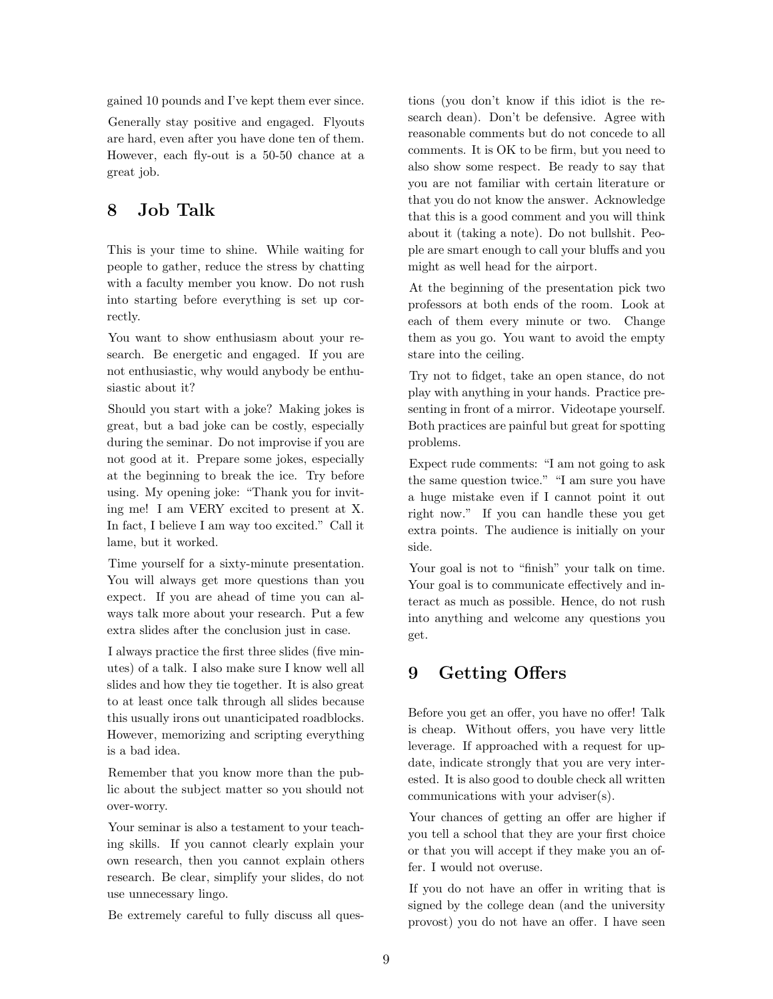gained 10 pounds and I've kept them ever since. Generally stay positive and engaged. Flyouts are hard, even after you have done ten of them. However, each fly-out is a 50-50 chance at a great job.

### <span id="page-8-0"></span>8 Job Talk

This is your time to shine. While waiting for people to gather, reduce the stress by chatting with a faculty member you know. Do not rush into starting before everything is set up correctly.

You want to show enthusiasm about your research. Be energetic and engaged. If you are not enthusiastic, why would anybody be enthusiastic about it?

Should you start with a joke? Making jokes is great, but a bad joke can be costly, especially during the seminar. Do not improvise if you are not good at it. Prepare some jokes, especially at the beginning to break the ice. Try before using. My opening joke: "Thank you for inviting me! I am VERY excited to present at X. In fact, I believe I am way too excited." Call it lame, but it worked.

Time yourself for a sixty-minute presentation. You will always get more questions than you expect. If you are ahead of time you can always talk more about your research. Put a few extra slides after the conclusion just in case.

I always practice the first three slides (five minutes) of a talk. I also make sure I know well all slides and how they tie together. It is also great to at least once talk through all slides because this usually irons out unanticipated roadblocks. However, memorizing and scripting everything is a bad idea.

Remember that you know more than the public about the subject matter so you should not over-worry.

Your seminar is also a testament to your teaching skills. If you cannot clearly explain your own research, then you cannot explain others research. Be clear, simplify your slides, do not use unnecessary lingo.

Be extremely careful to fully discuss all ques-

tions (you don't know if this idiot is the research dean). Don't be defensive. Agree with reasonable comments but do not concede to all comments. It is OK to be firm, but you need to also show some respect. Be ready to say that you are not familiar with certain literature or that you do not know the answer. Acknowledge that this is a good comment and you will think about it (taking a note). Do not bullshit. People are smart enough to call your bluffs and you might as well head for the airport.

At the beginning of the presentation pick two professors at both ends of the room. Look at each of them every minute or two. Change them as you go. You want to avoid the empty stare into the ceiling.

Try not to fidget, take an open stance, do not play with anything in your hands. Practice presenting in front of a mirror. Videotape yourself. Both practices are painful but great for spotting problems.

Expect rude comments: "I am not going to ask the same question twice." "I am sure you have a huge mistake even if I cannot point it out right now." If you can handle these you get extra points. The audience is initially on your side.

Your goal is not to "finish" your talk on time. Your goal is to communicate effectively and interact as much as possible. Hence, do not rush into anything and welcome any questions you get.

# <span id="page-8-1"></span>9 Getting Offers

Before you get an offer, you have no offer! Talk is cheap. Without offers, you have very little leverage. If approached with a request for update, indicate strongly that you are very interested. It is also good to double check all written communications with your adviser(s).

Your chances of getting an offer are higher if you tell a school that they are your first choice or that you will accept if they make you an offer. I would not overuse.

If you do not have an offer in writing that is signed by the college dean (and the university provost) you do not have an offer. I have seen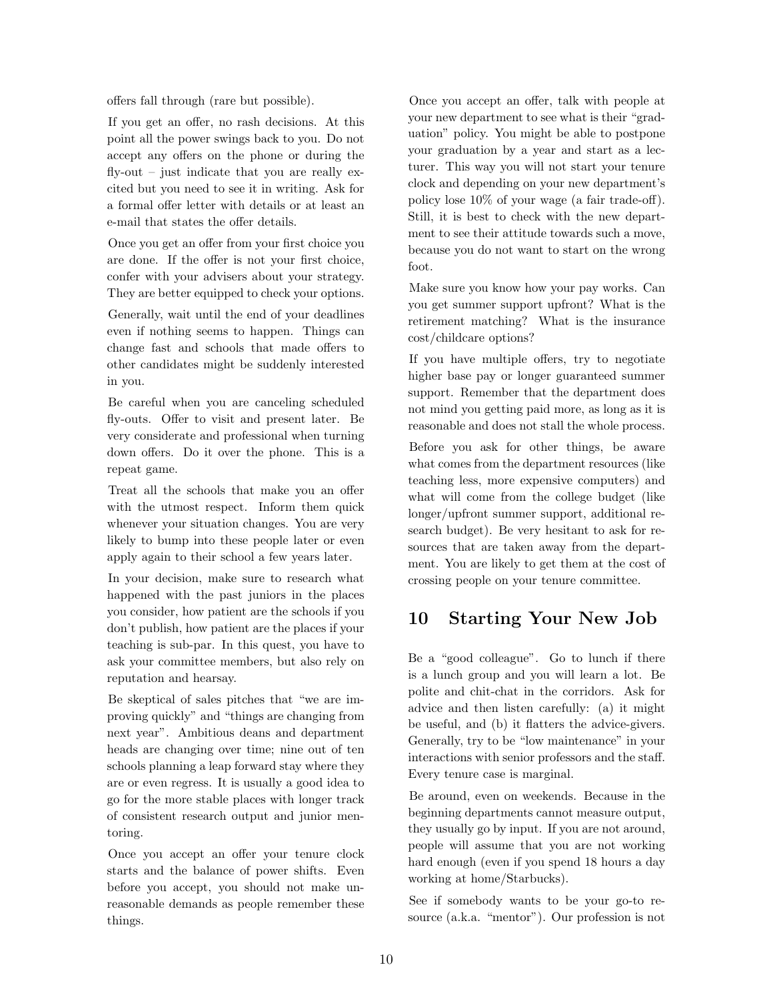offers fall through (rare but possible).

If you get an offer, no rash decisions. At this point all the power swings back to you. Do not accept any offers on the phone or during the  $fly-out - just indicate that you are really ex$ cited but you need to see it in writing. Ask for a formal offer letter with details or at least an e-mail that states the offer details.

Once you get an offer from your first choice you are done. If the offer is not your first choice, confer with your advisers about your strategy. They are better equipped to check your options.

Generally, wait until the end of your deadlines even if nothing seems to happen. Things can change fast and schools that made offers to other candidates might be suddenly interested in you.

Be careful when you are canceling scheduled fly-outs. Offer to visit and present later. Be very considerate and professional when turning down offers. Do it over the phone. This is a repeat game.

Treat all the schools that make you an offer with the utmost respect. Inform them quick whenever your situation changes. You are very likely to bump into these people later or even apply again to their school a few years later.

In your decision, make sure to research what happened with the past juniors in the places you consider, how patient are the schools if you don't publish, how patient are the places if your teaching is sub-par. In this quest, you have to ask your committee members, but also rely on reputation and hearsay.

Be skeptical of sales pitches that "we are improving quickly" and "things are changing from next year". Ambitious deans and department heads are changing over time; nine out of ten schools planning a leap forward stay where they are or even regress. It is usually a good idea to go for the more stable places with longer track of consistent research output and junior mentoring.

Once you accept an offer your tenure clock starts and the balance of power shifts. Even before you accept, you should not make unreasonable demands as people remember these things.

Once you accept an offer, talk with people at your new department to see what is their "graduation" policy. You might be able to postpone your graduation by a year and start as a lecturer. This way you will not start your tenure clock and depending on your new department's policy lose 10% of your wage (a fair trade-off). Still, it is best to check with the new department to see their attitude towards such a move, because you do not want to start on the wrong foot.

Make sure you know how your pay works. Can you get summer support upfront? What is the retirement matching? What is the insurance cost/childcare options?

If you have multiple offers, try to negotiate higher base pay or longer guaranteed summer support. Remember that the department does not mind you getting paid more, as long as it is reasonable and does not stall the whole process.

Before you ask for other things, be aware what comes from the department resources (like teaching less, more expensive computers) and what will come from the college budget (like longer/upfront summer support, additional research budget). Be very hesitant to ask for resources that are taken away from the department. You are likely to get them at the cost of crossing people on your tenure committee.

# <span id="page-9-0"></span>10 Starting Your New Job

Be a "good colleague". Go to lunch if there is a lunch group and you will learn a lot. Be polite and chit-chat in the corridors. Ask for advice and then listen carefully: (a) it might be useful, and (b) it flatters the advice-givers. Generally, try to be "low maintenance" in your interactions with senior professors and the staff. Every tenure case is marginal.

Be around, even on weekends. Because in the beginning departments cannot measure output, they usually go by input. If you are not around, people will assume that you are not working hard enough (even if you spend 18 hours a day working at home/Starbucks).

See if somebody wants to be your go-to resource (a.k.a. "mentor"). Our profession is not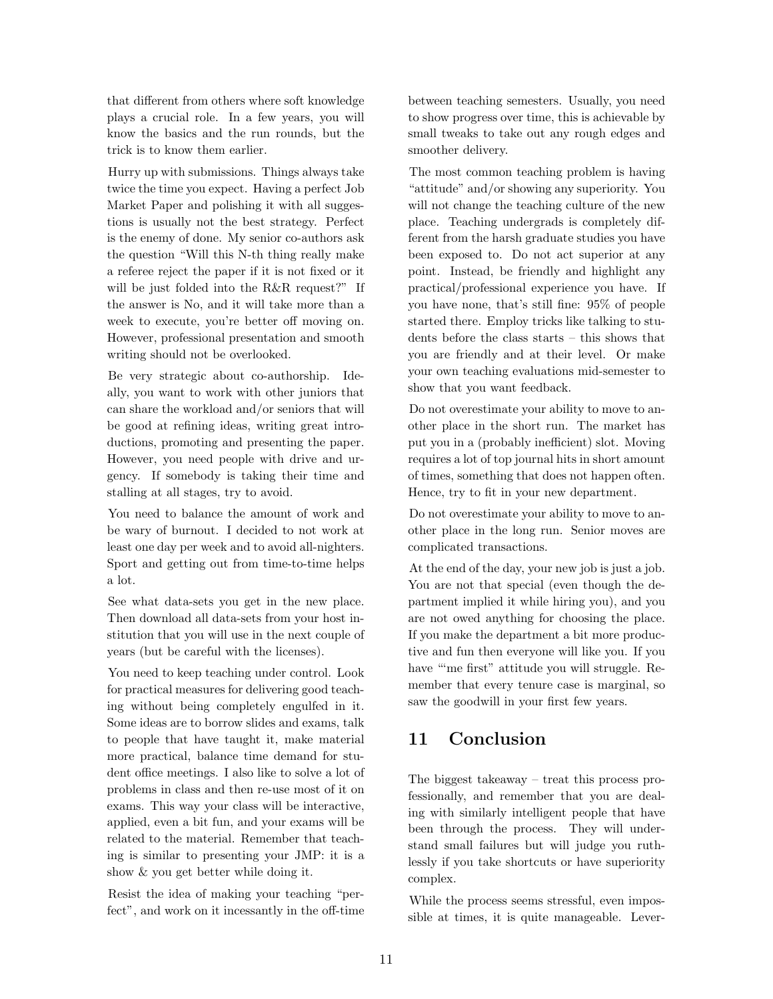that different from others where soft knowledge plays a crucial role. In a few years, you will know the basics and the run rounds, but the trick is to know them earlier.

Hurry up with submissions. Things always take twice the time you expect. Having a perfect Job Market Paper and polishing it with all suggestions is usually not the best strategy. Perfect is the enemy of done. My senior co-authors ask the question "Will this N-th thing really make a referee reject the paper if it is not fixed or it will be just folded into the R&R request?" If the answer is No, and it will take more than a week to execute, you're better off moving on. However, professional presentation and smooth writing should not be overlooked.

Be very strategic about co-authorship. Ideally, you want to work with other juniors that can share the workload and/or seniors that will be good at refining ideas, writing great introductions, promoting and presenting the paper. However, you need people with drive and urgency. If somebody is taking their time and stalling at all stages, try to avoid.

You need to balance the amount of work and be wary of burnout. I decided to not work at least one day per week and to avoid all-nighters. Sport and getting out from time-to-time helps a lot.

See what data-sets you get in the new place. Then download all data-sets from your host institution that you will use in the next couple of years (but be careful with the licenses).

You need to keep teaching under control. Look for practical measures for delivering good teaching without being completely engulfed in it. Some ideas are to borrow slides and exams, talk to people that have taught it, make material more practical, balance time demand for student office meetings. I also like to solve a lot of problems in class and then re-use most of it on exams. This way your class will be interactive, applied, even a bit fun, and your exams will be related to the material. Remember that teaching is similar to presenting your JMP: it is a show & you get better while doing it.

Resist the idea of making your teaching "perfect", and work on it incessantly in the off-time between teaching semesters. Usually, you need to show progress over time, this is achievable by small tweaks to take out any rough edges and smoother delivery.

The most common teaching problem is having "attitude" and/or showing any superiority. You will not change the teaching culture of the new place. Teaching undergrads is completely different from the harsh graduate studies you have been exposed to. Do not act superior at any point. Instead, be friendly and highlight any practical/professional experience you have. If you have none, that's still fine: 95% of people started there. Employ tricks like talking to students before the class starts – this shows that you are friendly and at their level. Or make your own teaching evaluations mid-semester to show that you want feedback.

Do not overestimate your ability to move to another place in the short run. The market has put you in a (probably inefficient) slot. Moving requires a lot of top journal hits in short amount of times, something that does not happen often. Hence, try to fit in your new department.

Do not overestimate your ability to move to another place in the long run. Senior moves are complicated transactions.

At the end of the day, your new job is just a job. You are not that special (even though the department implied it while hiring you), and you are not owed anything for choosing the place. If you make the department a bit more productive and fun then everyone will like you. If you have "me first" attitude you will struggle. Remember that every tenure case is marginal, so saw the goodwill in your first few years.

# <span id="page-10-0"></span>11 Conclusion

The biggest takeaway – treat this process professionally, and remember that you are dealing with similarly intelligent people that have been through the process. They will understand small failures but will judge you ruthlessly if you take shortcuts or have superiority complex.

While the process seems stressful, even impossible at times, it is quite manageable. Lever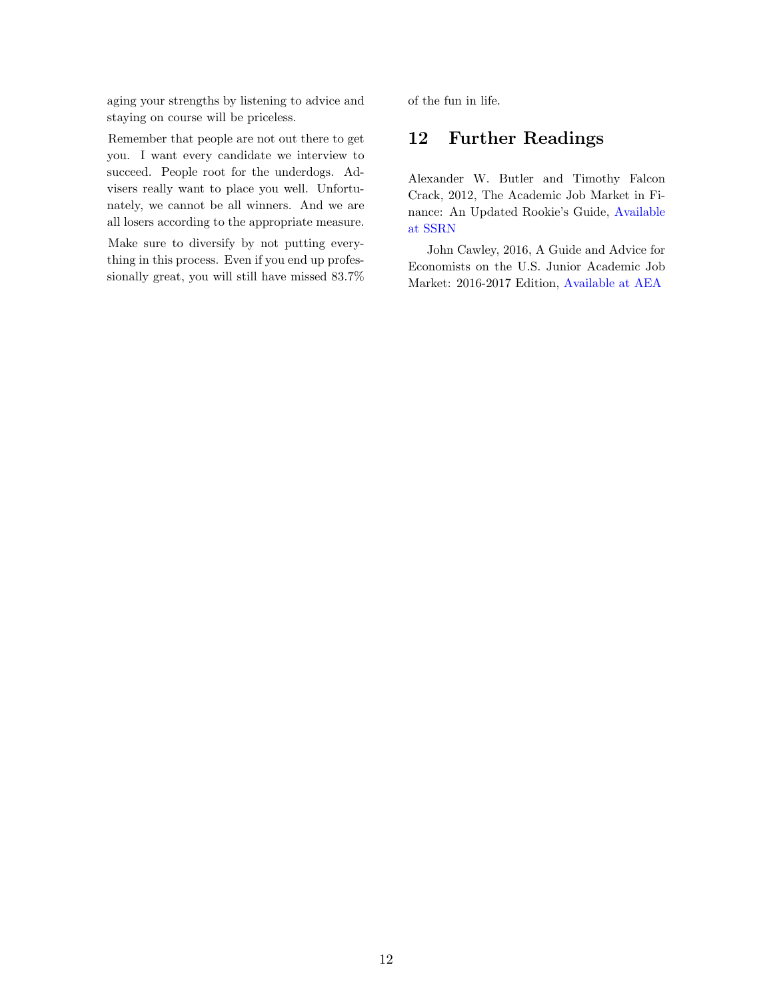aging your strengths by listening to advice and staying on course will be priceless.

Remember that people are not out there to get you. I want every candidate we interview to succeed. People root for the underdogs. Advisers really want to place you well. Unfortunately, we cannot be all winners. And we are all losers according to the appropriate measure.

Make sure to diversify by not putting everything in this process. Even if you end up professionally great, you will still have missed 83.7% <span id="page-11-0"></span>of the fun in life.

### 12 Further Readings

Alexander W. Butler and Timothy Falcon Crack, 2012, The Academic Job Market in Finance: An Updated Rookie's Guide, [Available](http://dx.doi.org/10.2139/ssrn.2109794) [at SSRN](http://dx.doi.org/10.2139/ssrn.2109794)

John Cawley, 2016, A Guide and Advice for Economists on the U.S. Junior Academic Job Market: 2016-2017 Edition, [Available at AEA](https://www.aeaweb.org/content/file?id=869)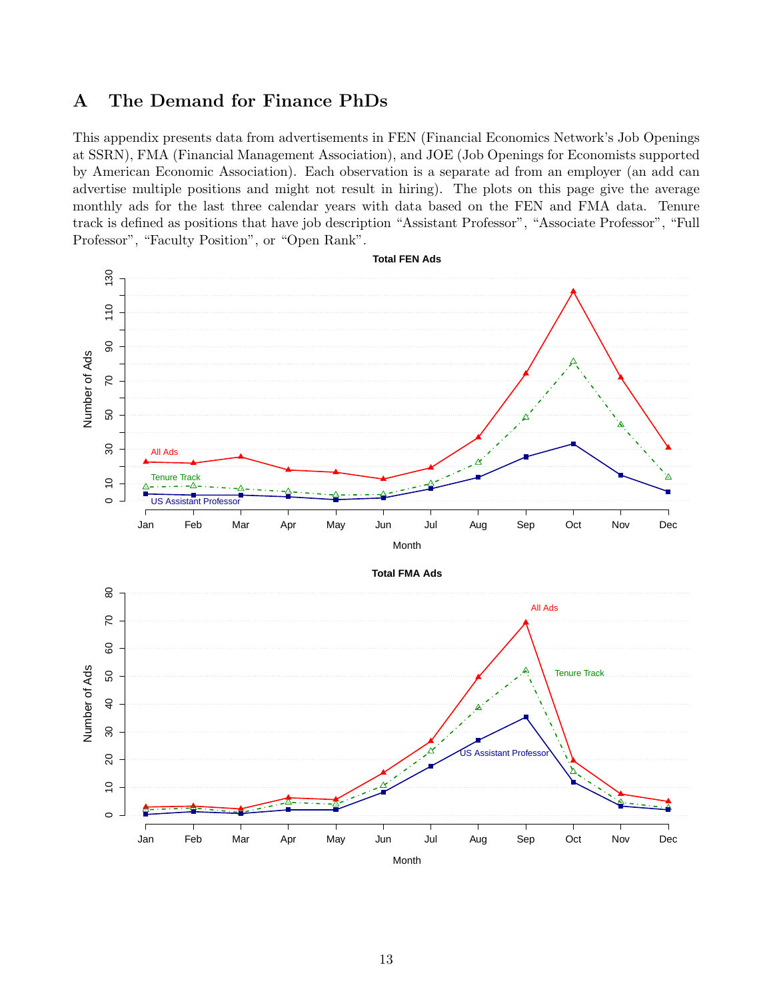# <span id="page-12-0"></span>A The Demand for Finance PhDs

This appendix presents data from advertisements in FEN (Financial Economics Network's Job Openings at SSRN), FMA (Financial Management Association), and JOE (Job Openings for Economists supported by American Economic Association). Each observation is a separate ad from an employer (an add can advertise multiple positions and might not result in hiring). The plots on this page give the average monthly ads for the last three calendar years with data based on the FEN and FMA data. Tenure track is defined as positions that have job description "Assistant Professor", "Associate Professor", "Full Professor", "Faculty Position", or "Open Rank".

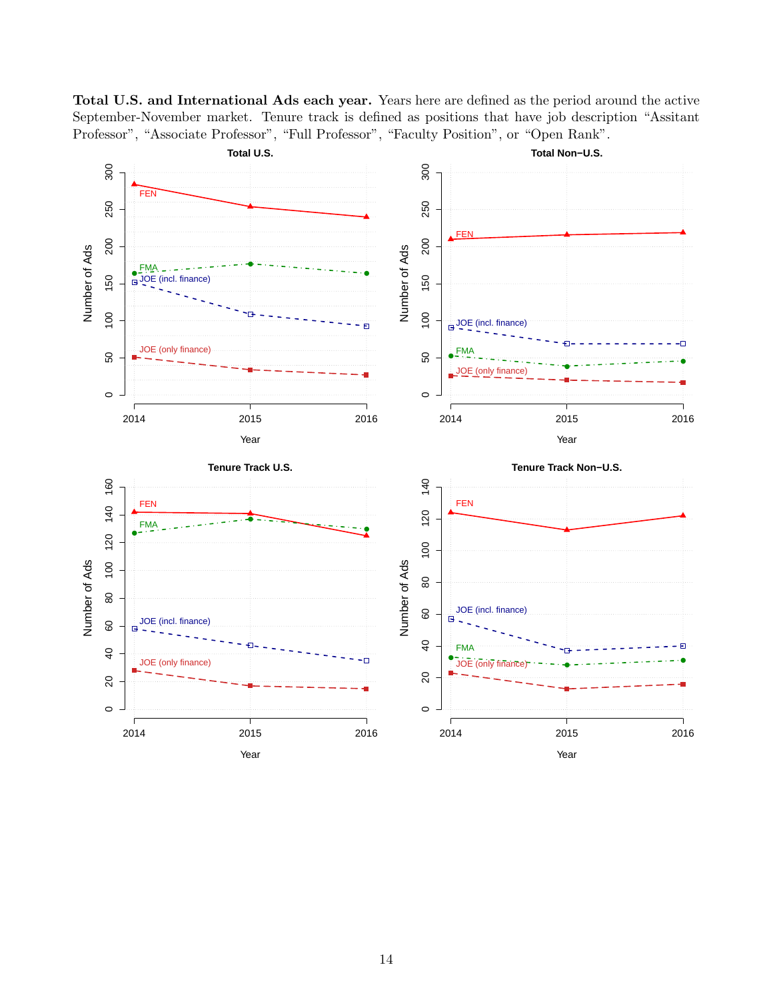

Total U.S. and International Ads each year. Years here are defined as the period around the active September-November market. Tenure track is defined as positions that have job description "Assitant Professor", "Associate Professor", "Full Professor", "Faculty Position", or "Open Rank".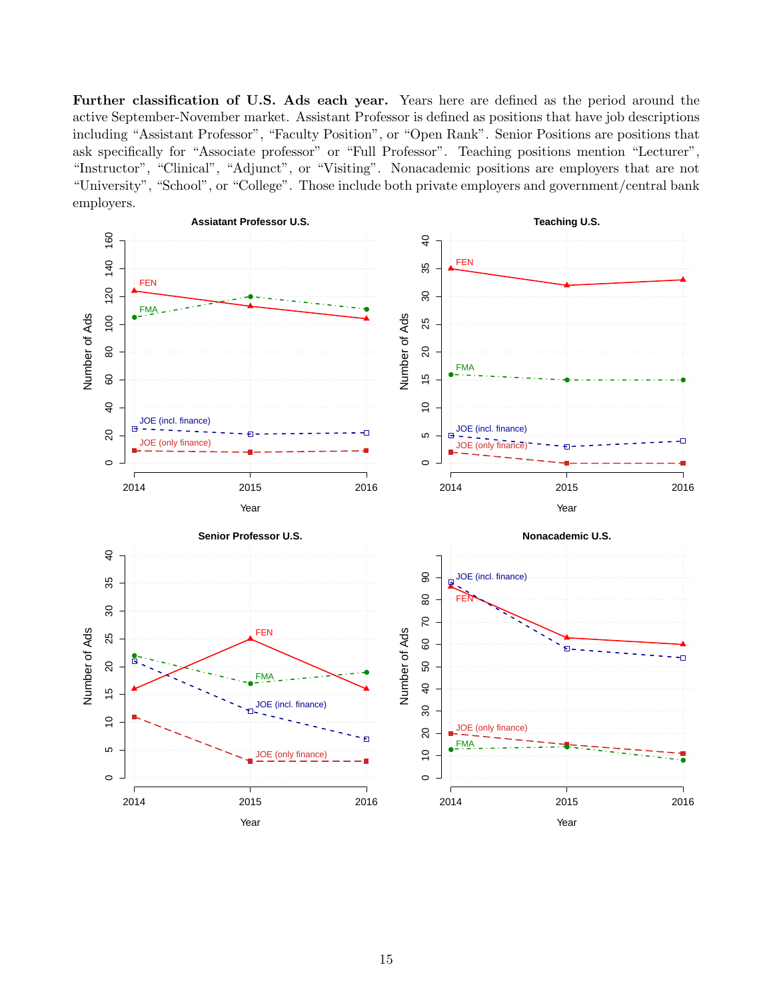Further classification of U.S. Ads each year. Years here are defined as the period around the active September-November market. Assistant Professor is defined as positions that have job descriptions including "Assistant Professor", "Faculty Position", or "Open Rank". Senior Positions are positions that ask specifically for "Associate professor" or "Full Professor". Teaching positions mention "Lecturer", "Instructor", "Clinical", "Adjunct", or "Visiting". Nonacademic positions are employers that are not "University", "School", or "College". Those include both private employers and government/central bank employers.